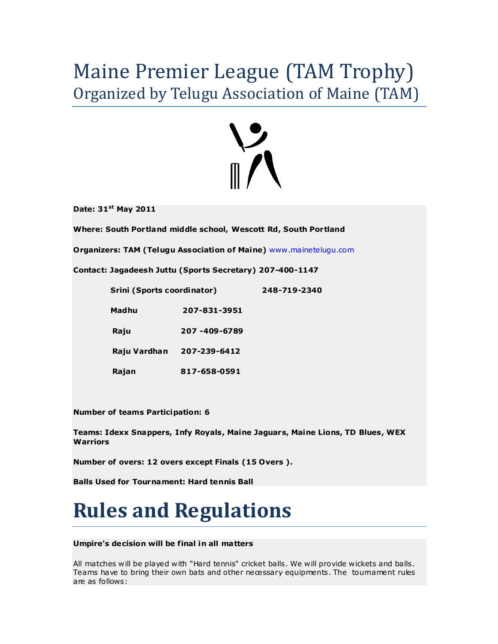### Maine Premier League (TAM Trophy) Organized by Telugu Association of Maine (TAM)



**Date: 31 st May 2011**

**Where: South Portland middle school, Wescott Rd, South Portland**

**Organizers: TAM (Telugu Association of Maine)** [www .mainetelugu.com](www.mainetelugu.com)

**Contact: Jagadeesh Juttu (Sports Secretary) 207-400-1147** 

| Srini (Sports coordinator) |              | 248-719-2340 |
|----------------------------|--------------|--------------|
| <b>Madhu</b>               | 207-831-3951 |              |
| Raju                       | 207-409-6789 |              |
| Raju Vardhan               | 207-239-6412 |              |
| Rajan                      | 817-658-0591 |              |

**Number of teams Participation: 6**

**Teams: Idexx Snappers, Infy Royals, Maine Jaguars, Maine Lions, TD Blues, WEX Warriors** 

**Number of overs: 12 overs except Finals (15 Overs ).** 

**Balls Used for Tournament: Hard tennis Ball**

## **Rules and Regulations**

#### **Umpire's decision will be final in all matters**

All matches will be played with "Hard tennis" cricket balls. We will provide wickets and balls. Teams have to bring their own bats and other necessary equipments. The tournament rules are as follows: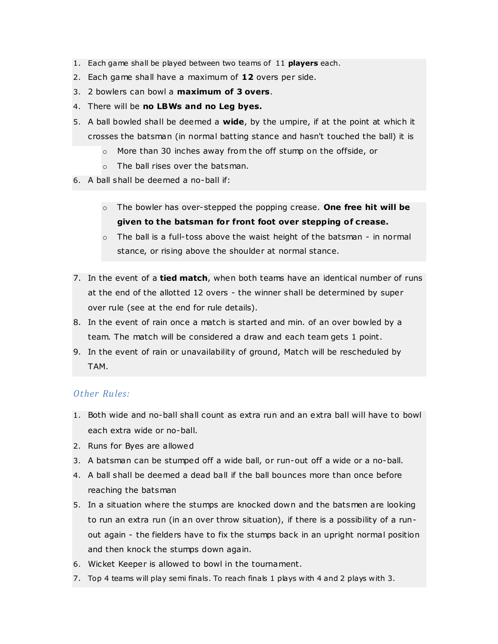- 1. Each game shall be played between two teams of 11 **players** each.
- 2. Each game shall have a maximum of **12** overs per side.
- 3. 2 bowlers can bowl a **maximum of 3 overs**.
- 4. There will be **no LBWs and no Leg byes.**
- 5. A ball bowled shall be deemed a **wide**, by the umpire, if at the point at which it crosses the batsman (in normal batting stance and hasn't touched the ball) it is
	- o More than 30 inches away from the off stump on the offside, or
	- o The ball rises over the batsman.
- 6. A ball shall be deemed a no-ball if:
	- o The bowler has over-stepped the popping crease. **One free hit will be given to the batsman for front foot over stepping of crease.**
	- $\circ$  The ball is a full-toss above the waist height of the batsman in normal stance, or rising above the shoulder at normal stance.
- 7. In the event of a **tied match**, when both teams have an identical number of runs at the end of the allotted 12 overs - the winner shall be determined by super over rule (see at the end for rule details).
- 8. In the event of rain once a match is started and min. of an over bowled by a team. The match will be considered a draw and each team gets 1 point.
- 9. In the event of rain or unavailability of ground, Match will be rescheduled by TAM.

### *Other Rules:*

- 1. Both wide and no-ball shall count as extra run and an extra ball will have to bowl each extra wide or no-ball.
- 2. Runs for Byes are allowed
- 3. A batsman can be stumped off a wide ball, or run-out off a wide or a no-ball.
- 4. A ball shall be deemed a dead ball if the ball bounces more than once before reaching the batsman
- 5. In a situation where the stumps are knocked down and the batsmen are looking to run an extra run (in an over throw situation), if there is a possibility of a runout again - the fielders have to fix the stumps back in an upright normal position and then knock the stumps down again.
- 6. Wicket Keeper is allowed to bowl in the tournament.
- 7. Top 4 teams will play semi finals. To reach finals 1 plays with 4 and 2 plays with 3.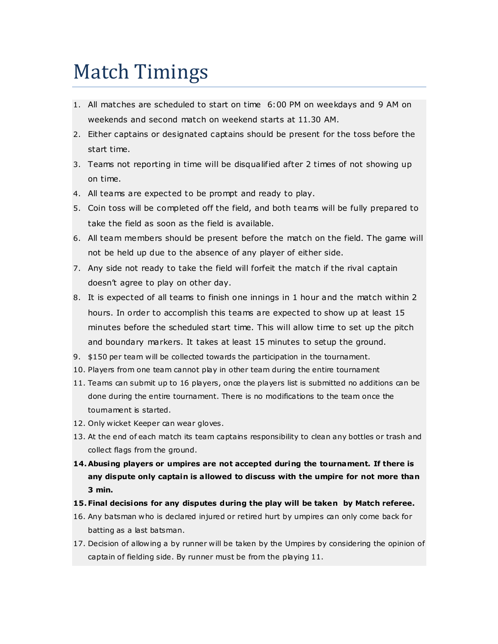### Match Timings

- 1. All matches are scheduled to start on time 6:00 PM on weekdays and 9 AM on weekends and second match on weekend starts at 11.30 AM.
- 2. Either captains or designated captains should be present for the toss before the start time.
- 3. Teams not reporting in time will be disqualified after 2 times of not showing up on time.
- 4. All teams are expected to be prompt and ready to play.
- 5. Coin toss will be completed off the field, and both teams will be fully prepared to take the field as soon as the field is available.
- 6. All team members should be present before the match on the field. The game will not be held up due to the absence of any player of either side.
- 7. Any side not ready to take the field will forfeit the match if the rival captain doesn't agree to play on other day.
- 8. It is expected of all teams to finish one innings in 1 hour and the match within 2 hours. In order to accomplish this teams are expected to show up at least 15 minutes before the scheduled start time. This will allow time to set up the pitch and boundary markers. It takes at least 15 minutes to setup the ground.
- 9. \$150 per team will be collected towards the participation in the tournament.
- 10. Players from one team cannot play in other team during the entire tournament
- 11. Teams can submit up to 16 players, once the players list is submitted no additions can be done during the entire tournament. There is no modifications to the team once the tournament is started.
- 12. Only wicket Keeper can wear gloves.
- 13. At the end of each match its team captains responsibility to clean any bottles or trash and collect flags from the ground.
- **14.Abusing players or umpires are not accepted during the tournament. If there is any dispute only captain is allowed to discuss with the umpire for not more than 3 min.**
- **15.Final decisions for any disputes during the play will be taken by Match referee.**
- 16. Any batsman who is declared injured or retired hurt by umpires can only come back for batting as a last batsman.
- 17. Decision of allowing a by runner will be taken by the Umpires by considering the opinion of captain of fielding side. By runner must be from the playing 11.